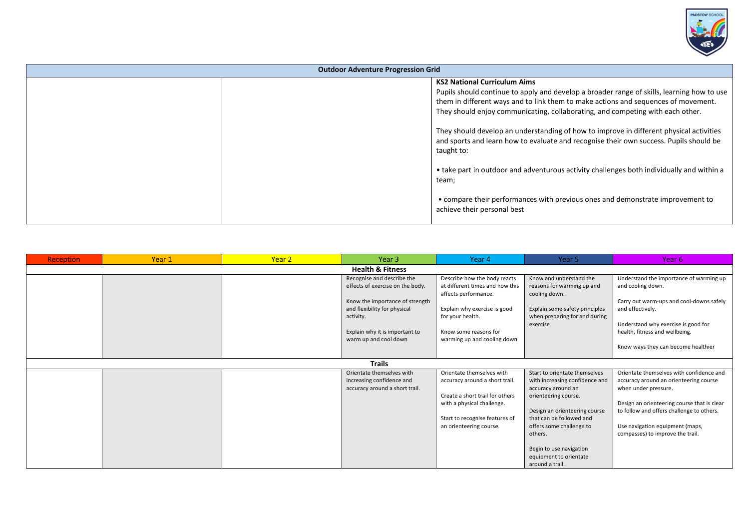

| <b>Outdoor Adventure Progression Grid</b> |  |                                                                                            |  |  |  |
|-------------------------------------------|--|--------------------------------------------------------------------------------------------|--|--|--|
|                                           |  | <b>KS2 National Curriculum Aims</b>                                                        |  |  |  |
|                                           |  | Pupils should continue to apply and develop a broader range of skills, learning how to use |  |  |  |
|                                           |  | them in different ways and to link them to make actions and sequences of movement.         |  |  |  |
|                                           |  | They should enjoy communicating, collaborating, and competing with each other.             |  |  |  |
|                                           |  | They should develop an understanding of how to improve in different physical activities    |  |  |  |
|                                           |  | and sports and learn how to evaluate and recognise their own success. Pupils should be     |  |  |  |
|                                           |  | taught to:                                                                                 |  |  |  |
|                                           |  |                                                                                            |  |  |  |
|                                           |  | • take part in outdoor and adventurous activity challenges both individually and within a  |  |  |  |
|                                           |  | team;                                                                                      |  |  |  |
|                                           |  | • compare their performances with previous ones and demonstrate improvement to             |  |  |  |
|                                           |  | achieve their personal best                                                                |  |  |  |
|                                           |  |                                                                                            |  |  |  |

| Reception                   | Year 1 | Year 2 | Year 3                                                         | Year 4                                                          | Year 5                                                          | Year 6                                                       |  |
|-----------------------------|--------|--------|----------------------------------------------------------------|-----------------------------------------------------------------|-----------------------------------------------------------------|--------------------------------------------------------------|--|
| <b>Health &amp; Fitness</b> |        |        |                                                                |                                                                 |                                                                 |                                                              |  |
|                             |        |        | Recognise and describe the<br>effects of exercise on the body. | Describe how the body reacts<br>at different times and how this | Know and understand the<br>reasons for warming up and           | Understand the importance of warming up<br>and cooling down. |  |
|                             |        |        |                                                                | affects performance.                                            | cooling down.                                                   |                                                              |  |
|                             |        |        | Know the importance of strength                                |                                                                 |                                                                 | Carry out warm-ups and cool-downs safely                     |  |
|                             |        |        | and flexibility for physical<br>activity.                      | Explain why exercise is good<br>for your health.                | Explain some safety principles<br>when preparing for and during | and effectively.                                             |  |
|                             |        |        |                                                                |                                                                 | exercise                                                        | Understand why exercise is good for                          |  |
|                             |        |        | Explain why it is important to<br>warm up and cool down        | Know some reasons for<br>warming up and cooling down            |                                                                 | health, fitness and wellbeing.                               |  |
|                             |        |        |                                                                |                                                                 |                                                                 | Know ways they can become healthier                          |  |
|                             |        |        |                                                                |                                                                 |                                                                 |                                                              |  |
|                             |        |        | <b>Trails</b>                                                  |                                                                 |                                                                 |                                                              |  |
|                             |        |        | Orientate themselves with                                      | Orientate themselves with                                       | Start to orientate themselves                                   | Orientate themselves with confidence and                     |  |
|                             |        |        | increasing confidence and                                      | accuracy around a short trail.                                  | with increasing confidence and                                  | accuracy around an orienteering course                       |  |
|                             |        |        | accuracy around a short trail.                                 | Create a short trail for others                                 | accuracy around an<br>orienteering course.                      | when under pressure.                                         |  |
|                             |        |        |                                                                | with a physical challenge.                                      |                                                                 | Design an orienteering course that is clear                  |  |
|                             |        |        |                                                                |                                                                 | Design an orienteering course                                   | to follow and offers challenge to others.                    |  |
|                             |        |        |                                                                | Start to recognise features of                                  | that can be followed and                                        |                                                              |  |
|                             |        |        |                                                                | an orienteering course.                                         | offers some challenge to                                        | Use navigation equipment (maps,                              |  |
|                             |        |        |                                                                |                                                                 | others.                                                         | compasses) to improve the trail.                             |  |
|                             |        |        |                                                                |                                                                 | Begin to use navigation                                         |                                                              |  |
|                             |        |        |                                                                |                                                                 | equipment to orientate                                          |                                                              |  |
|                             |        |        |                                                                |                                                                 | around a trail.                                                 |                                                              |  |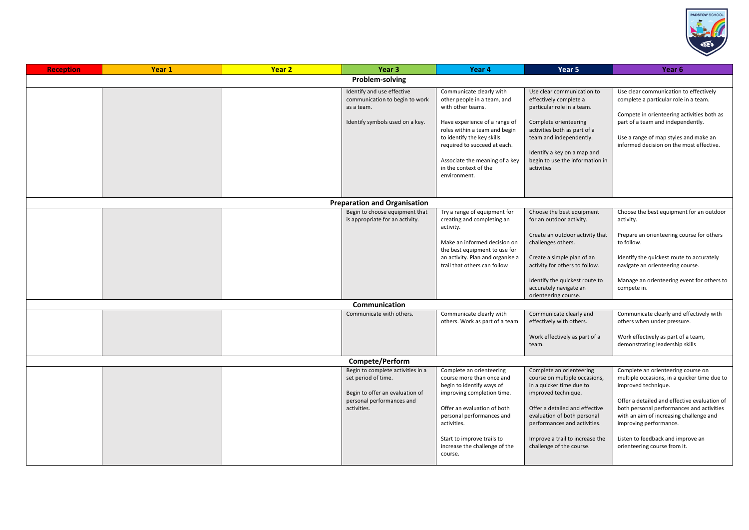

| <b>Reception</b> | Year 1          | Year <sub>2</sub> | Year <sub>3</sub>                                                                                                                       | Year 4                                                                                                                                                                                                                                                                                  | Year 5                                                                                                                                                                                                                                                                                                                                                              | Year 6                                                                                                                                                                                                                                                                                                                                                                                                              |  |
|------------------|-----------------|-------------------|-----------------------------------------------------------------------------------------------------------------------------------------|-----------------------------------------------------------------------------------------------------------------------------------------------------------------------------------------------------------------------------------------------------------------------------------------|---------------------------------------------------------------------------------------------------------------------------------------------------------------------------------------------------------------------------------------------------------------------------------------------------------------------------------------------------------------------|---------------------------------------------------------------------------------------------------------------------------------------------------------------------------------------------------------------------------------------------------------------------------------------------------------------------------------------------------------------------------------------------------------------------|--|
|                  | Problem-solving |                   |                                                                                                                                         |                                                                                                                                                                                                                                                                                         |                                                                                                                                                                                                                                                                                                                                                                     |                                                                                                                                                                                                                                                                                                                                                                                                                     |  |
|                  |                 |                   | Identify and use effective<br>communication to begin to work<br>as a team.<br>Identify symbols used on a key.                           | Communicate clearly with<br>other people in a team, and<br>with other teams.<br>Have experience of a range of<br>roles within a team and begin<br>to identify the key skills<br>required to succeed at each.<br>Associate the meaning of a key<br>in the context of the<br>environment. | Use clear communication to<br>effectively complete a<br>particular role in a team.<br>Complete orienteering<br>activities both as part of a<br>team and independently.<br>Identify a key on a map and<br>begin to use the information in<br>activities                                                                                                              | Use clear communication to effectively<br>complete a particular role in a team.<br>Compete in orienteering activities both as<br>part of a team and independently.<br>Use a range of map styles and make an<br>informed decision on the most effective.                                                                                                                                                             |  |
|                  |                 |                   | <b>Preparation and Organisation</b>                                                                                                     |                                                                                                                                                                                                                                                                                         |                                                                                                                                                                                                                                                                                                                                                                     |                                                                                                                                                                                                                                                                                                                                                                                                                     |  |
|                  |                 |                   | Begin to choose equipment that<br>is appropriate for an activity.<br>Communication<br>Communicate with others.                          | Try a range of equipment for<br>creating and completing an<br>activity.<br>Make an informed decision on<br>the best equipment to use for<br>an activity. Plan and organise a<br>trail that others can follow<br>Communicate clearly with<br>others. Work as part of a team              | Choose the best equipment<br>for an outdoor activity.<br>Create an outdoor activity that<br>challenges others.<br>Create a simple plan of an<br>activity for others to follow.<br>Identify the quickest route to<br>accurately navigate an<br>orienteering course.<br>Communicate clearly and<br>effectively with others.<br>Work effectively as part of a<br>team. | Choose the best equipment for an outdoor<br>activity.<br>Prepare an orienteering course for others<br>to follow.<br>Identify the quickest route to accurately<br>navigate an orienteering course.<br>Manage an orienteering event for others to<br>compete in.<br>Communicate clearly and effectively with<br>others when under pressure.<br>Work effectively as part of a team,<br>demonstrating leadership skills |  |
|                  |                 |                   | Compete/Perform                                                                                                                         |                                                                                                                                                                                                                                                                                         |                                                                                                                                                                                                                                                                                                                                                                     |                                                                                                                                                                                                                                                                                                                                                                                                                     |  |
|                  |                 |                   | Begin to complete activities in a<br>set period of time.<br>Begin to offer an evaluation of<br>personal performances and<br>activities. | Complete an orienteering<br>course more than once and<br>begin to identify ways of<br>improving completion time.<br>Offer an evaluation of both<br>personal performances and<br>activities.<br>Start to improve trails to<br>increase the challenge of the<br>course.                   | Complete an orienteering<br>course on multiple occasions,<br>in a quicker time due to<br>improved technique.<br>Offer a detailed and effective<br>evaluation of both personal<br>performances and activities.<br>Improve a trail to increase the<br>challenge of the course.                                                                                        | Complete an orienteering course on<br>multiple occasions, in a quicker time due to<br>improved technique.<br>Offer a detailed and effective evaluation of<br>both personal performances and activities<br>with an aim of increasing challenge and<br>improving performance.<br>Listen to feedback and improve an<br>orienteering course from it.                                                                    |  |